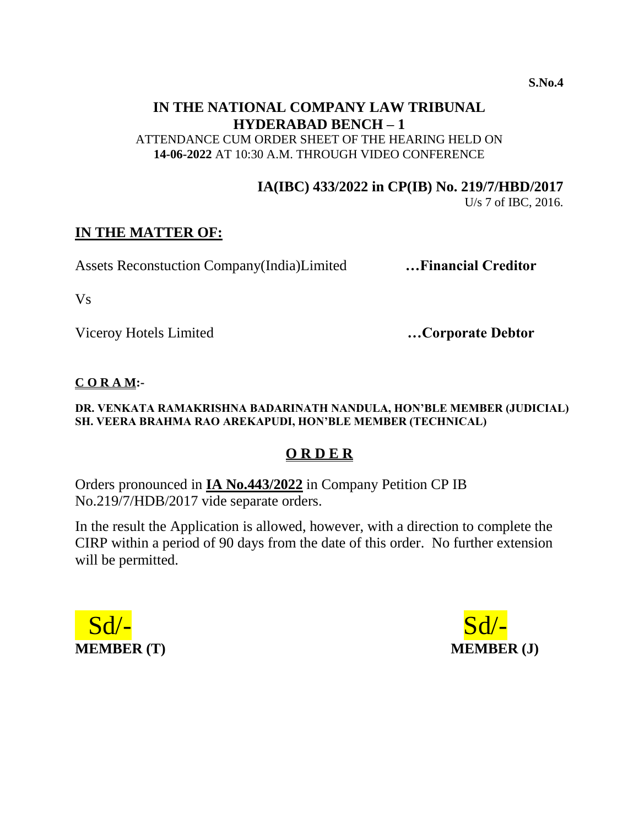**S.No.4**

# **IN THE NATIONAL COMPANY LAW TRIBUNAL HYDERABAD BENCH – 1**

ATTENDANCE CUM ORDER SHEET OF THE HEARING HELD ON **14-06-2022** AT 10:30 A.M. THROUGH VIDEO CONFERENCE

**IA(IBC) 433/2022 in CP(IB) No. 219/7/HBD/2017**

U/s 7 of IBC, 2016.

## **IN THE MATTER OF:**

Assets Reconstuction Company(India)Limited **…Financial Creditor** 

Vs

Viceroy Hotels Limited **…Corporate Debtor**

#### **C O R A M:-**

#### **DR. VENKATA RAMAKRISHNA BADARINATH NANDULA, HON'BLE MEMBER (JUDICIAL) SH. VEERA BRAHMA RAO AREKAPUDI, HON'BLE MEMBER (TECHNICAL)**

# **O R D E R**

Orders pronounced in **IA No.443/2022** in Company Petition CP IB No.219/7/HDB/2017 vide separate orders.

In the result the Application is allowed, however, with a direction to complete the CIRP within a period of 90 days from the date of this order. No further extension will be permitted.



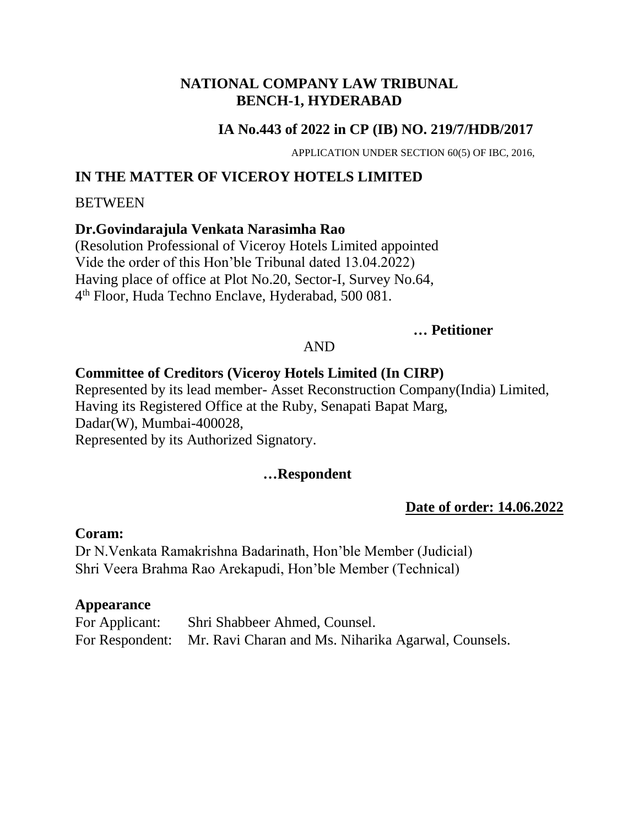#### **NATIONAL COMPANY LAW TRIBUNAL BENCH-1, HYDERABAD**

## **IA No.443 of 2022 in CP (IB) NO. 219/7/HDB/2017**

APPLICATION UNDER SECTION 60(5) OF IBC, 2016,

# **IN THE MATTER OF VICEROY HOTELS LIMITED**

#### **BETWEEN**

#### **Dr.Govindarajula Venkata Narasimha Rao**

(Resolution Professional of Viceroy Hotels Limited appointed Vide the order of this Hon'ble Tribunal dated 13.04.2022) Having place of office at Plot No.20, Sector-I, Survey No.64, 4 th Floor, Huda Techno Enclave, Hyderabad, 500 081.

#### **… Petitioner**

## AND

## **Committee of Creditors (Viceroy Hotels Limited (In CIRP)**

Represented by its lead member- Asset Reconstruction Company(India) Limited, Having its Registered Office at the Ruby, Senapati Bapat Marg, Dadar(W), Mumbai-400028, Represented by its Authorized Signatory.

#### **…Respondent**

## **Date of order: 14.06.2022**

#### **Coram:**

Dr N.Venkata Ramakrishna Badarinath, Hon'ble Member (Judicial) Shri Veera Brahma Rao Arekapudi, Hon'ble Member (Technical)

#### **Appearance**

| For Applicant: | Shri Shabbeer Ahmed, Counsel.                                       |
|----------------|---------------------------------------------------------------------|
|                | For Respondent: Mr. Ravi Charan and Ms. Niharika Agarwal, Counsels. |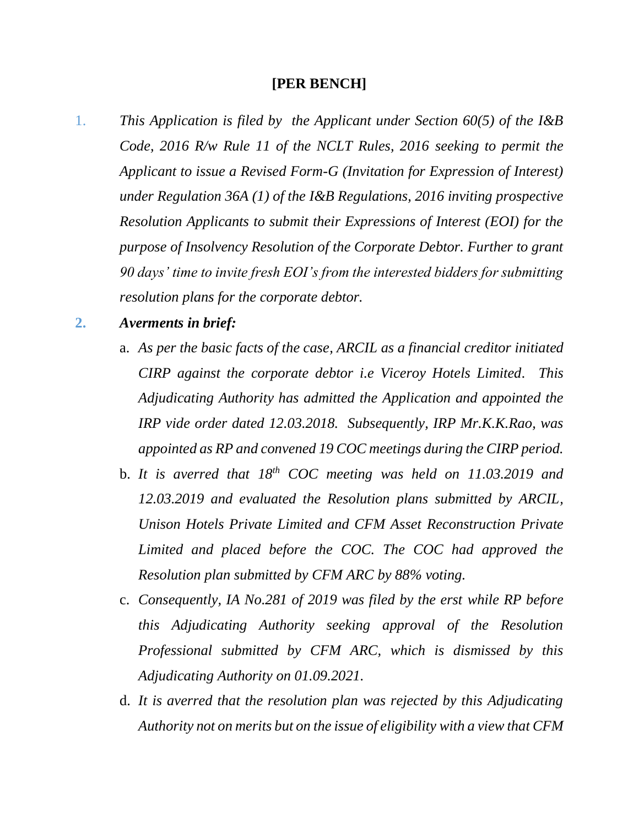#### **[PER BENCH]**

- 1. *This Application is filed by the Applicant under Section 60(5) of the I&B Code, 2016 R/w Rule 11 of the NCLT Rules, 2016 seeking to permit the Applicant to issue a Revised Form-G (Invitation for Expression of Interest) under Regulation 36A (1) of the I&B Regulations, 2016 inviting prospective Resolution Applicants to submit their Expressions of Interest (EOI) for the purpose of Insolvency Resolution of the Corporate Debtor. Further to grant 90 days' time to invite fresh EOI's from the interested bidders for submitting resolution plans for the corporate debtor.*
- **2.** *Averments in brief:*
	- a. *As per the basic facts of the case, ARCIL as a financial creditor initiated CIRP against the corporate debtor i.e Viceroy Hotels Limited. This Adjudicating Authority has admitted the Application and appointed the IRP vide order dated 12.03.2018. Subsequently, IRP Mr.K.K.Rao, was appointed as RP and convened 19 COC meetings during the CIRP period.*
	- b. *It is averred that 18th COC meeting was held on 11.03.2019 and 12.03.2019 and evaluated the Resolution plans submitted by ARCIL, Unison Hotels Private Limited and CFM Asset Reconstruction Private Limited and placed before the COC. The COC had approved the Resolution plan submitted by CFM ARC by 88% voting.*
	- c. *Consequently, IA No.281 of 2019 was filed by the erst while RP before this Adjudicating Authority seeking approval of the Resolution Professional submitted by CFM ARC, which is dismissed by this Adjudicating Authority on 01.09.2021.*
	- d. *It is averred that the resolution plan was rejected by this Adjudicating Authority not on merits but on the issue of eligibility with a view that CFM*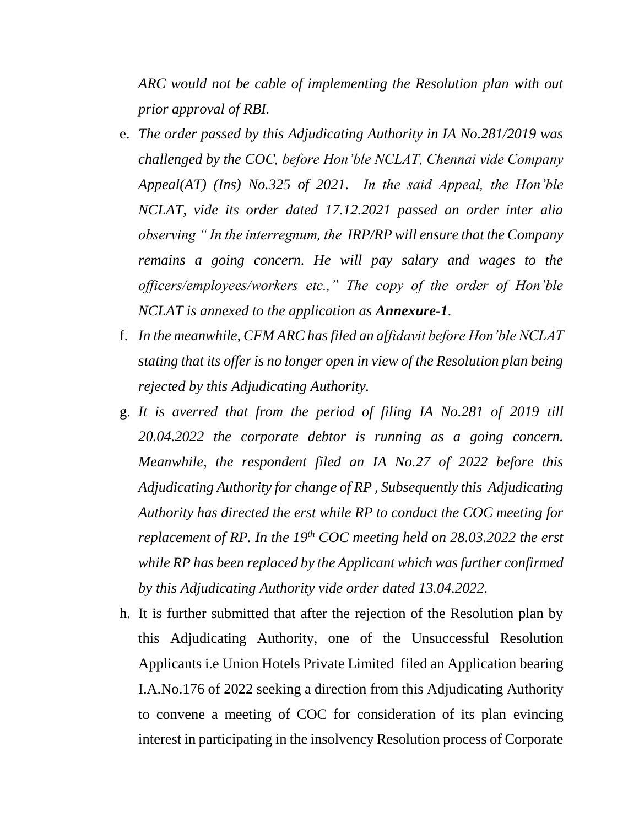*ARC would not be cable of implementing the Resolution plan with out prior approval of RBI.* 

- e. *The order passed by this Adjudicating Authority in IA No.281/2019 was challenged by the COC, before Hon'ble NCLAT, Chennai vide Company Appeal(AT) (Ins) No.325 of 2021. In the said Appeal, the Hon'ble NCLAT, vide its order dated 17.12.2021 passed an order inter alia observing " In the interregnum, the IRP/RP will ensure that the Company remains a going concern. He will pay salary and wages to the officers/employees/workers etc.," The copy of the order of Hon'ble NCLAT is annexed to the application as Annexure-1.*
- f. *In the meanwhile, CFM ARC has filed an affidavit before Hon'ble NCLAT stating that its offer is no longer open in view of the Resolution plan being rejected by this Adjudicating Authority.*
- g. *It is averred that from the period of filing IA No.281 of 2019 till 20.04.2022 the corporate debtor is running as a going concern. Meanwhile, the respondent filed an IA No.27 of 2022 before this Adjudicating Authority for change of RP , Subsequently this Adjudicating Authority has directed the erst while RP to conduct the COC meeting for replacement of RP. In the 19th COC meeting held on 28.03.2022 the erst while RP has been replaced by the Applicant which was further confirmed by this Adjudicating Authority vide order dated 13.04.2022.*
- h. It is further submitted that after the rejection of the Resolution plan by this Adjudicating Authority, one of the Unsuccessful Resolution Applicants i.e Union Hotels Private Limited filed an Application bearing I.A.No.176 of 2022 seeking a direction from this Adjudicating Authority to convene a meeting of COC for consideration of its plan evincing interest in participating in the insolvency Resolution process of Corporate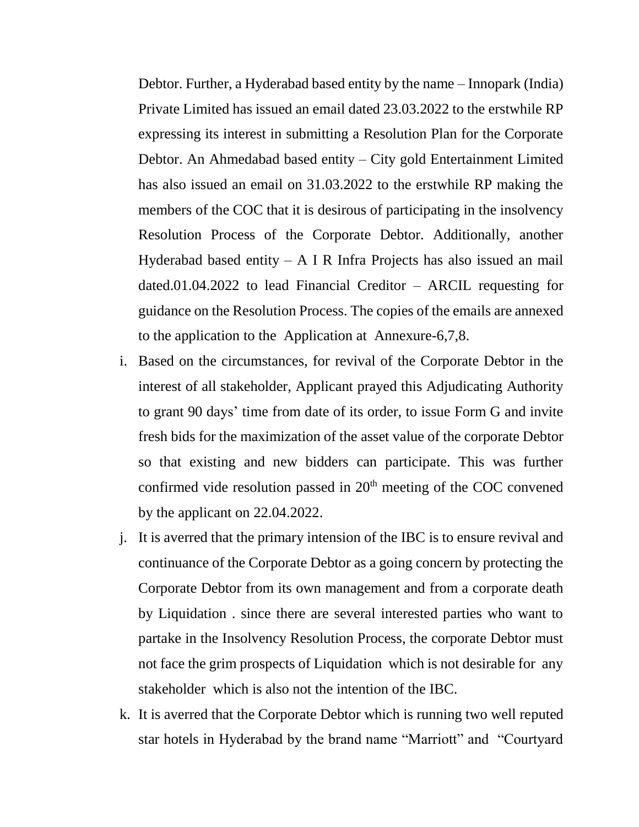Debtor. Further, a Hyderabad based entity by the name – Innopark (India) Private Limited has issued an email dated 23.03.2022 to the erstwhile RP expressing its interest in submitting a Resolution Plan for the Corporate Debtor. An Ahmedabad based entity – City gold Entertainment Limited has also issued an email on 31.03.2022 to the erstwhile RP making the members of the COC that it is desirous of participating in the insolvency Resolution Process of the Corporate Debtor. Additionally, another Hyderabad based entity – A I R Infra Projects has also issued an mail dated.01.04.2022 to lead Financial Creditor – ARCIL requesting for guidance on the Resolution Process. The copies of the emails are annexed to the application to the Application at Annexure-6,7,8.

- i. Based on the circumstances, for revival of the Corporate Debtor in the interest of all stakeholder, Applicant prayed this Adjudicating Authority to grant 90 days' time from date of its order, to issue Form G and invite fresh bids for the maximization of the asset value of the corporate Debtor so that existing and new bidders can participate. This was further confirmed vide resolution passed in  $20<sup>th</sup>$  meeting of the COC convened by the applicant on 22.04.2022.
- j. It is averred that the primary intension of the IBC is to ensure revival and continuance of the Corporate Debtor as a going concern by protecting the Corporate Debtor from its own management and from a corporate death by Liquidation . since there are several interested parties who want to partake in the Insolvency Resolution Process, the corporate Debtor must not face the grim prospects of Liquidation which is not desirable for any stakeholder which is also not the intention of the IBC.
- k. It is averred that the Corporate Debtor which is running two well reputed star hotels in Hyderabad by the brand name "Marriott" and "Courtyard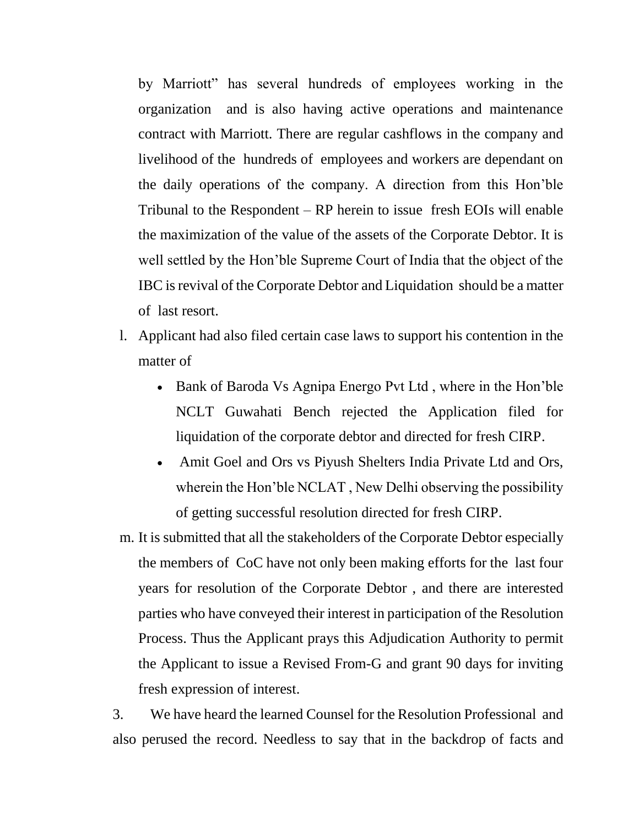by Marriott" has several hundreds of employees working in the organization and is also having active operations and maintenance contract with Marriott. There are regular cashflows in the company and livelihood of the hundreds of employees and workers are dependant on the daily operations of the company. A direction from this Hon'ble Tribunal to the Respondent – RP herein to issue fresh EOIs will enable the maximization of the value of the assets of the Corporate Debtor. It is well settled by the Hon'ble Supreme Court of India that the object of the IBC is revival of the Corporate Debtor and Liquidation should be a matter of last resort.

- l. Applicant had also filed certain case laws to support his contention in the matter of
	- Bank of Baroda Vs Agnipa Energo Pvt Ltd, where in the Hon'ble NCLT Guwahati Bench rejected the Application filed for liquidation of the corporate debtor and directed for fresh CIRP.
	- Amit Goel and Ors vs Piyush Shelters India Private Ltd and Ors, wherein the Hon'ble NCLAT , New Delhi observing the possibility of getting successful resolution directed for fresh CIRP.
- m. It is submitted that all the stakeholders of the Corporate Debtor especially the members of CoC have not only been making efforts for the last four years for resolution of the Corporate Debtor , and there are interested parties who have conveyed their interest in participation of the Resolution Process. Thus the Applicant prays this Adjudication Authority to permit the Applicant to issue a Revised From-G and grant 90 days for inviting fresh expression of interest.

3. We have heard the learned Counsel for the Resolution Professional and also perused the record. Needless to say that in the backdrop of facts and